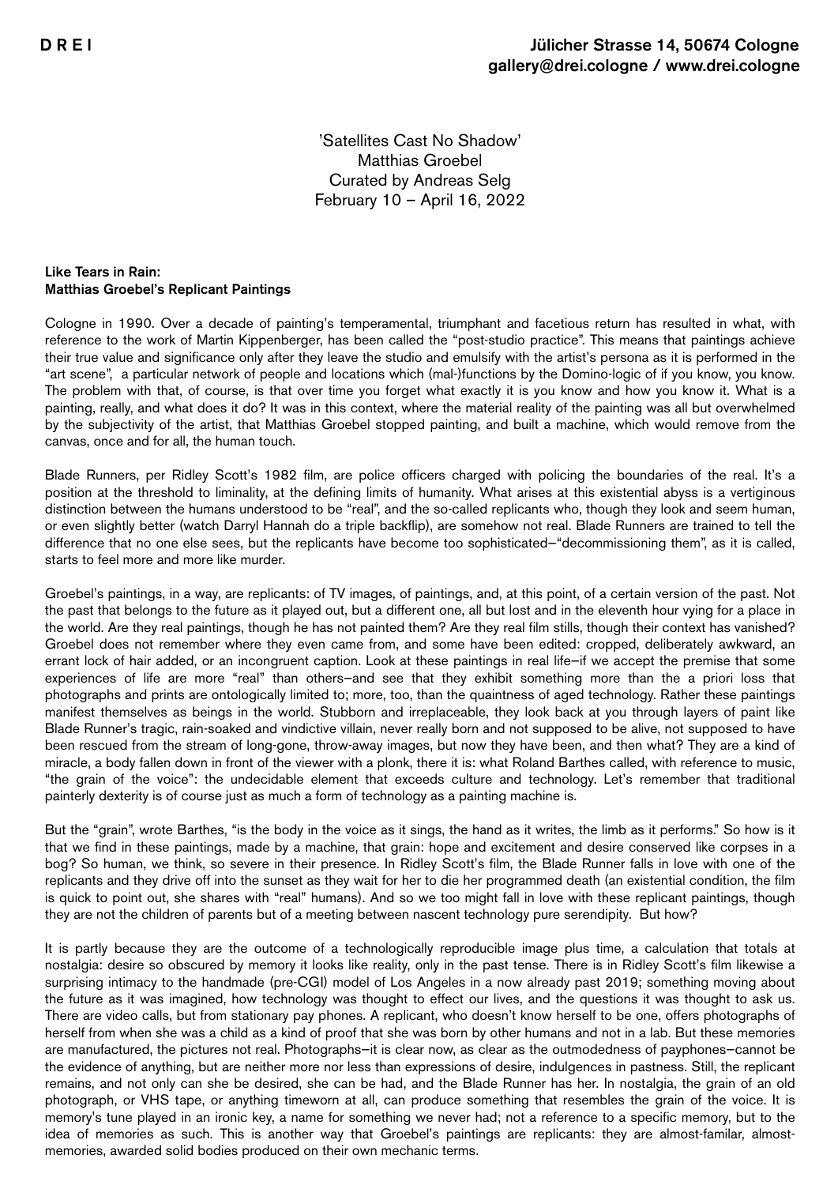'Satellites Cast No Shadow' Matthias Groebel Curated by Andreas Selg February 10 – April 16, 2022

## Like Tears in Rain: Matthias Groebel's Replicant Paintings

Cologne in 1990. Over a decade of painting's temperamental, triumphant and facetious return has resulted in what, with reference to the work of Martin Kippenberger, has been called the "post-studio practice". This means that paintings achieve their true value and significance only after they leave the studio and emulsify with the artist's persona as it is performed in the "art scene", a particular network of people and locations which (mal-)functions by the Domino-logic of if you know, you know. The problem with that, of course, is that over time you forget what exactly it is you know and how you know it. What is a painting, really, and what does it do? It was in this context, where the material reality of the painting was all but overwhelmed by the subjectivity of the artist, that Matthias Groebel stopped painting, and built a machine, which would remove from the canvas, once and for all, the human touch.

Blade Runners, per Ridley Scott's 1982 film, are police officers charged with policing the boundaries of the real. It's a position at the threshold to liminality, at the defining limits of humanity. What arises at this existential abyss is a vertiginous distinction between the humans understood to be "real", and the so-called replicants who, though they look and seem human, or even slightly better (watch Darryl Hannah do a triple backflip), are somehow not real. Blade Runners are trained to tell the difference that no one else sees, but the replicants have become too sophisticated—"decommissioning them", as it is called, starts to feel more and more like murder.

Groebel's paintings, in a way, are replicants: of TV images, of paintings, and, at this point, of a certain version of the past. Not the past that belongs to the future as it played out, but a different one, all but lost and in the eleventh hour vying for a place in the world. Are they real paintings, though he has not painted them? Are they real film stills, though their context has vanished? Groebel does not remember where they even came from, and some have been edited: cropped, deliberately awkward, an errant lock of hair added, or an incongruent caption. Look at these paintings in real life—if we accept the premise that some experiences of life are more "real" than others—and see that they exhibit something more than the a priori loss that photographs and prints are ontologically limited to; more, too, than the quaintness of aged technology. Rather these paintings manifest themselves as beings in the world. Stubborn and irreplaceable, they look back at you through layers of paint like Blade Runner's tragic, rain-soaked and vindictive villain, never really born and not supposed to be alive, not supposed to have been rescued from the stream of long-gone, throw-away images, but now they have been, and then what? They are a kind of miracle, a body fallen down in front of the viewer with a plonk, there it is: what Roland Barthes called, with reference to music, "the grain of the voice": the undecidable element that exceeds culture and technology. Let's remember that traditional painterly dexterity is of course just as much a form of technology as a painting machine is.

But the "grain", wrote Barthes, "is the body in the voice as it sings, the hand as it writes, the limb as it performs." So how is it that we find in these paintings, made by a machine, that grain: hope and excitement and desire conserved like corpses in a bog? So human, we think, so severe in their presence. In Ridley Scott's film, the Blade Runner falls in love with one of the replicants and they drive off into the sunset as they wait for her to die her programmed death (an existential condition, the film is quick to point out, she shares with "real" humans). And so we too might fall in love with these replicant paintings, though they are not the children of parents but of a meeting between nascent technology pure serendipity. But how?

It is partly because they are the outcome of a technologically reproducible image plus time, a calculation that totals at nostalgia: desire so obscured by memory it looks like reality, only in the past tense. There is in Ridley Scott's film likewise a surprising intimacy to the handmade (pre-CGI) model of Los Angeles in a now already past 2019; something moving about the future as it was imagined, how technology was thought to effect our lives, and the questions it was thought to ask us. There are video calls, but from stationary pay phones. A replicant, who doesn't know herself to be one, offers photographs of herself from when she was a child as a kind of proof that she was born by other humans and not in a lab. But these memories are manufactured, the pictures not real. Photographs—it is clear now, as clear as the outmodedness of payphones—cannot be the evidence of anything, but are neither more nor less than expressions of desire, indulgences in pastness. Still, the replicant remains, and not only can she be desired, she can be had, and the Blade Runner has her. In nostalgia, the grain of an old photograph, or VHS tape, or anything timeworn at all, can produce something that resembles the grain of the voice. It is memory's tune played in an ironic key, a name for something we never had; not a reference to a specific memory, but to the idea of memories as such. This is another way that Groebel's paintings are replicants: they are almost-familar, almostmemories, awarded solid bodies produced on their own mechanic terms.